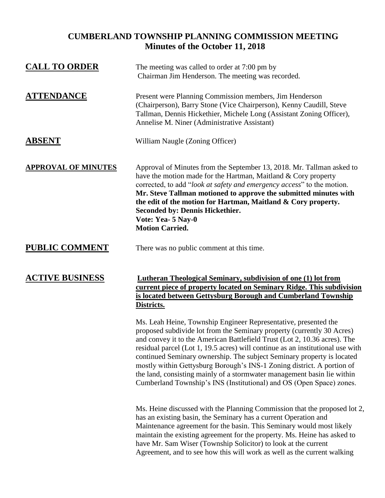## **CUMBERLAND TOWNSHIP PLANNING COMMISSION MEETING Minutes of the October 11, 2018**

| <b>CALL TO ORDER</b>       | The meeting was called to order at 7:00 pm by<br>Chairman Jim Henderson. The meeting was recorded.                                                                                                                                                                                                                                                                                                                                                                                                                                                                                                              |
|----------------------------|-----------------------------------------------------------------------------------------------------------------------------------------------------------------------------------------------------------------------------------------------------------------------------------------------------------------------------------------------------------------------------------------------------------------------------------------------------------------------------------------------------------------------------------------------------------------------------------------------------------------|
| <b>ATTENDANCE</b>          | Present were Planning Commission members, Jim Henderson<br>(Chairperson), Barry Stone (Vice Chairperson), Kenny Caudill, Steve<br>Tallman, Dennis Hickethier, Michele Long (Assistant Zoning Officer),<br>Annelise M. Niner (Administrative Assistant)                                                                                                                                                                                                                                                                                                                                                          |
| <b>ABSENT</b>              | William Naugle (Zoning Officer)                                                                                                                                                                                                                                                                                                                                                                                                                                                                                                                                                                                 |
| <b>APPROVAL OF MINUTES</b> | Approval of Minutes from the September 13, 2018. Mr. Tallman asked to<br>have the motion made for the Hartman, Maitland & Cory property<br>corrected, to add "look at safety and emergency access" to the motion.<br>Mr. Steve Tallman motioned to approve the submitted minutes with<br>the edit of the motion for Hartman, Maitland & Cory property.<br><b>Seconded by: Dennis Hickethier.</b><br>Vote: Yea- 5 Nay-0<br><b>Motion Carried.</b>                                                                                                                                                                |
| <b>PUBLIC COMMENT</b>      | There was no public comment at this time.                                                                                                                                                                                                                                                                                                                                                                                                                                                                                                                                                                       |
| <b>ACTIVE BUSINESS</b>     | <b>Lutheran Theological Seminary, subdivision of one (1) lot from</b><br>current piece of property located on Seminary Ridge. This subdivision<br>is located between Gettysburg Borough and Cumberland Township<br>Districts.                                                                                                                                                                                                                                                                                                                                                                                   |
|                            | Ms. Leah Heine, Township Engineer Representative, presented the<br>proposed subdivide lot from the Seminary property (currently 30 Acres)<br>and convey it to the American Battlefield Trust (Lot 2, 10.36 acres). The<br>residual parcel (Lot 1, 19.5 acres) will continue as an institutional use with<br>continued Seminary ownership. The subject Seminary property is located<br>mostly within Gettysburg Borough's INS-1 Zoning district. A portion of<br>the land, consisting mainly of a stormwater management basin lie within<br>Cumberland Township's INS (Institutional) and OS (Open Space) zones. |
|                            | Ms. Heine discussed with the Planning Commission that the proposed lot 2,<br>has an existing basin, the Seminary has a current Operation and<br>Maintenance agreement for the basin. This Seminary would most likely<br>maintain the existing agreement for the property. Ms. Heine has asked to                                                                                                                                                                                                                                                                                                                |

have Mr. Sam Wiser (Township Solicitor) to look at the current Agreement, and to see how this will work as well as the current walking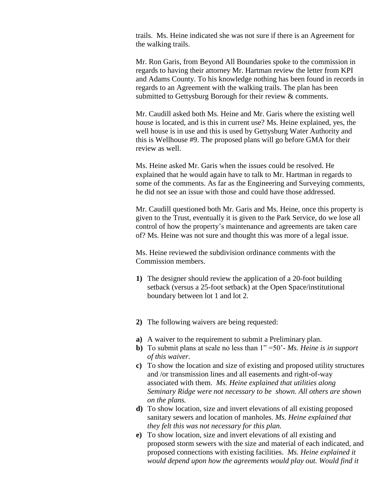trails. Ms. Heine indicated she was not sure if there is an Agreement for the walking trails.

Mr. Ron Garis, from Beyond All Boundaries spoke to the commission in regards to having their attorney Mr. Hartman review the letter from KPI and Adams County. To his knowledge nothing has been found in records in regards to an Agreement with the walking trails. The plan has been submitted to Gettysburg Borough for their review & comments.

Mr. Caudill asked both Ms. Heine and Mr. Garis where the existing well house is located, and is this in current use? Ms. Heine explained, yes, the well house is in use and this is used by Gettysburg Water Authority and this is Wellhouse #9. The proposed plans will go before GMA for their review as well.

Ms. Heine asked Mr. Garis when the issues could be resolved. He explained that he would again have to talk to Mr. Hartman in regards to some of the comments. As far as the Engineering and Surveying comments, he did not see an issue with those and could have those addressed.

Mr. Caudill questioned both Mr. Garis and Ms. Heine, once this property is given to the Trust, eventually it is given to the Park Service, do we lose all control of how the property's maintenance and agreements are taken care of? Ms. Heine was not sure and thought this was more of a legal issue.

Ms. Heine reviewed the subdivision ordinance comments with the Commission members.

- **1)** The designer should review the application of a 20-foot building setback (versus a 25-foot setback) at the Open Space/institutional boundary between lot 1 and lot 2.
- **2)** The following waivers are being requested:
- **a)** A waiver to the requirement to submit a Preliminary plan.
- **b)** To submit plans at scale no less than 1" =50'- *Ms. Heine is in support of this waiver.*
- **c)** To show the location and size of existing and proposed utility structures and /or transmission lines and all easements and right-of-way associated with them. *Ms. Heine explained that utilities along Seminary Ridge were not necessary to be shown. All others are shown on the plans.*
- **d)** To show location, size and invert elevations of all existing proposed sanitary sewers and location of manholes. *Ms. Heine explained that they felt this was not necessary for this plan.*
- **e)** To show location, size and invert elevations of all existing and proposed storm sewers with the size and material of each indicated, and proposed connections with existing facilities. *Ms. Heine explained it*  would depend upon how the agreements would play out. Would find it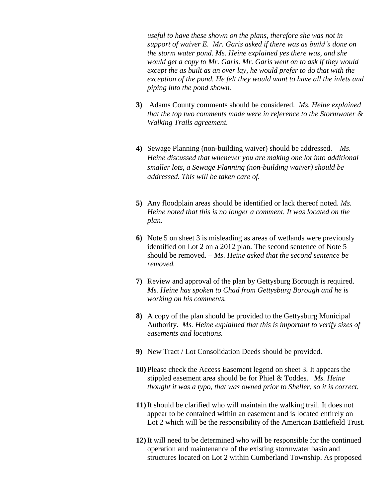*useful to have these shown on the plans, therefore she was not in support of waiver E. Mr. Garis asked if there was as build's done on the storm water pond. Ms. Heine explained yes there was, and she would get a copy to Mr. Garis. Mr. Garis went on to ask if they would except the as built as an over lay, he would prefer to do that with the exception of the pond. He felt they would want to have all the inlets and piping into the pond shown.* 

- **3)** Adams County comments should be considered. *Ms. Heine explained that the top two comments made were in reference to the Stormwater & Walking Trails agreement.*
- **4)** Sewage Planning (non-building waiver) should be addressed. *Ms. Heine discussed that whenever you are making one lot into additional smaller lots, a Sewage Planning (non-building waiver) should be addressed. This will be taken care of.*
- **5)** Any floodplain areas should be identified or lack thereof noted. *Ms. Heine noted that this is no longer a comment. It was located on the plan.*
- **6)** Note 5 on sheet 3 is misleading as areas of wetlands were previously identified on Lot 2 on a 2012 plan. The second sentence of Note 5 should be removed. – *Ms. Heine asked that the second sentence be removed.*
- **7)** Review and approval of the plan by Gettysburg Borough is required. *Ms. Heine has spoken to Chad from Gettysburg Borough and he is working on his comments.*
- **8)** A copy of the plan should be provided to the Gettysburg Municipal Authority. *Ms. Heine explained that this is important to verify sizes of easements and locations.*
- **9)** New Tract / Lot Consolidation Deeds should be provided.
- **10)** Please check the Access Easement legend on sheet 3. It appears the stippled easement area should be for Phiel & Toddes. *Ms. Heine thought it was a typo, that was owned prior to Sheller, so it is correct.*
- **11)** It should be clarified who will maintain the walking trail. It does not appear to be contained within an easement and is located entirely on Lot 2 which will be the responsibility of the American Battlefield Trust.
- **12)** It will need to be determined who will be responsible for the continued operation and maintenance of the existing stormwater basin and structures located on Lot 2 within Cumberland Township. As proposed